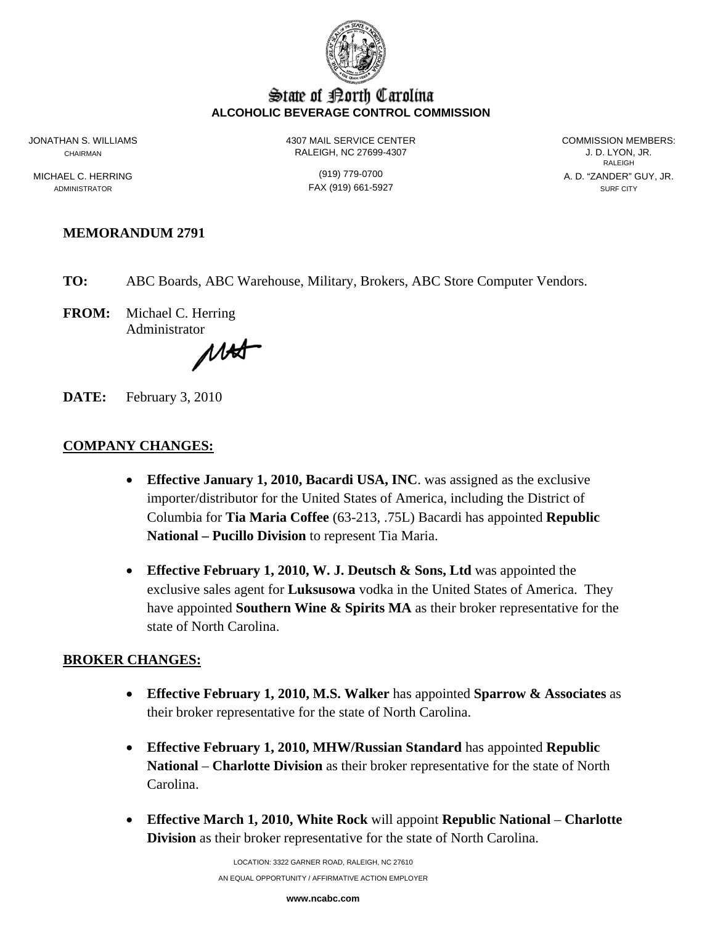

#### State of Borth Carolina **ALCOHOLIC BEVERAGE CONTROL COMMISSION**

ADMINISTRATOR SURF CITY CONTROL CONTROL CONTROL CONTROL CONTROL CONTROL CONTROL CONTROL CONTROL CONTROL CONTROL CONTROL CONTROL CONTROL CONTROL CONTROL CONTROL CONTROL CONTROL CONTROL CONTROL CONTROL CONTROL CONTROL CONTRO

JONATHAN S. WILLIAMS 4307 MAIL SERVICE CENTER COMMISSION MEMBERS: CHAIRMAN RALEIGH, NC 27699-4307 J. D. LYON, JR.

**RALEIGH RALEIGH** MICHAEL C. HERRING (919) 779-0700 A. D. "ZANDER" GUY, JR.

# **MEMORANDUM 2791**

**TO:** ABC Boards, ABC Warehouse, Military, Brokers, ABC Store Computer Vendors.

**FROM:** Michael C. Herring Administrator

MAT

**DATE:** February 3, 2010

## **COMPANY CHANGES:**

- **Effective January 1, 2010, Bacardi USA, INC**. was assigned as the exclusive importer/distributor for the United States of America, including the District of Columbia for **Tia Maria Coffee** (63-213, .75L) Bacardi has appointed **Republic National – Pucillo Division** to represent Tia Maria.
- **Effective February 1, 2010, W. J. Deutsch & Sons, Ltd** was appointed the exclusive sales agent for **Luksusowa** vodka in the United States of America. They have appointed **Southern Wine & Spirits MA** as their broker representative for the state of North Carolina.

## **BROKER CHANGES:**

- **Effective February 1, 2010, M.S. Walker** has appointed **Sparrow & Associates** as their broker representative for the state of North Carolina.
- **Effective February 1, 2010, MHW/Russian Standard** has appointed **Republic National** – **Charlotte Division** as their broker representative for the state of North Carolina.
- **Effective March 1, 2010, White Rock** will appoint **Republic National Charlotte Division** as their broker representative for the state of North Carolina.

LOCATION: 3322 GARNER ROAD, RALEIGH, NC 27610 AN EQUAL OPPORTUNITY / AFFIRMATIVE ACTION EMPLOYER